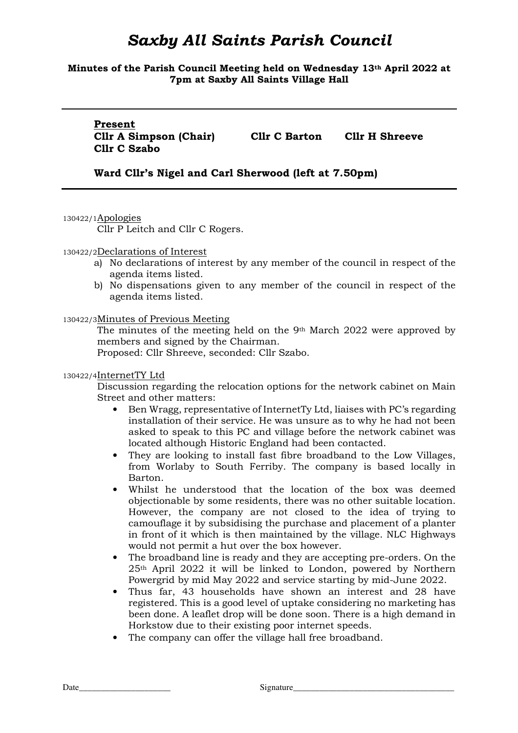**Minutes of the Parish Council Meeting held on Wednesday 13th April 2022 at 7pm at Saxby All Saints Village Hall** 

**Present Cllr C Szabo** 

**Cllr A Simpson (Chair) Cllr C Barton Cllr H Shreeve**

**Ward Cllr's Nigel and Carl Sherwood (left at 7.50pm)** 

130422/1Apologies

Cllr P Leitch and Cllr C Rogers.

#### 130422/2Declarations of Interest

- a) No declarations of interest by any member of the council in respect of the agenda items listed.
- b) No dispensations given to any member of the council in respect of the agenda items listed.

130422/3Minutes of Previous Meeting

The minutes of the meeting held on the 9th March 2022 were approved by members and signed by the Chairman.

Proposed: Cllr Shreeve, seconded: Cllr Szabo.

#### 130422/4InternetTY Ltd

Discussion regarding the relocation options for the network cabinet on Main Street and other matters:

- Ben Wragg, representative of InternetTy Ltd, liaises with PC's regarding installation of their service. He was unsure as to why he had not been asked to speak to this PC and village before the network cabinet was located although Historic England had been contacted.
- They are looking to install fast fibre broadband to the Low Villages, from Worlaby to South Ferriby. The company is based locally in Barton.
- Whilst he understood that the location of the box was deemed objectionable by some residents, there was no other suitable location. However, the company are not closed to the idea of trying to camouflage it by subsidising the purchase and placement of a planter in front of it which is then maintained by the village. NLC Highways would not permit a hut over the box however.
- The broadband line is ready and they are accepting pre-orders. On the 25th April 2022 it will be linked to London, powered by Northern Powergrid by mid May 2022 and service starting by mid-June 2022.
- Thus far, 43 households have shown an interest and 28 have registered. This is a good level of uptake considering no marketing has been done. A leaflet drop will be done soon. There is a high demand in Horkstow due to their existing poor internet speeds.
- The company can offer the village hall free broadband.

Date\_\_\_\_\_\_\_\_\_\_\_\_\_\_\_\_\_\_\_\_\_ Signature\_\_\_\_\_\_\_\_\_\_\_\_\_\_\_\_\_\_\_\_\_\_\_\_\_\_\_\_\_\_\_\_\_\_\_\_\_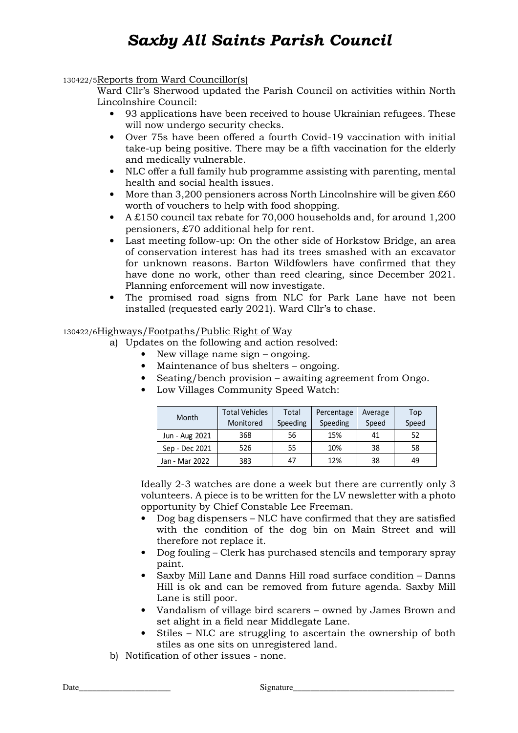130422/5Reports from Ward Councillor(s)

Ward Cllr's Sherwood updated the Parish Council on activities within North Lincolnshire Council:

- 93 applications have been received to house Ukrainian refugees. These will now undergo security checks.
- Over 75s have been offered a fourth Covid-19 vaccination with initial take-up being positive. There may be a fifth vaccination for the elderly and medically vulnerable.
- NLC offer a full family hub programme assisting with parenting, mental health and social health issues.
- More than 3,200 pensioners across North Lincolnshire will be given £60 worth of vouchers to help with food shopping.
- A £150 council tax rebate for 70,000 households and, for around 1,200 pensioners, £70 additional help for rent.
- Last meeting follow-up: On the other side of Horkstow Bridge, an area of conservation interest has had its trees smashed with an excavator for unknown reasons. Barton Wildfowlers have confirmed that they have done no work, other than reed clearing, since December 2021. Planning enforcement will now investigate.
- The promised road signs from NLC for Park Lane have not been installed (requested early 2021). Ward Cllr's to chase.

## 130422/6Highways/Footpaths/Public Right of Way

- a) Updates on the following and action resolved:
	- New village name sign ongoing.
	- Maintenance of bus shelters ongoing.
	- Seating/bench provision awaiting agreement from Ongo.
	- Low Villages Community Speed Watch:

| Month          | <b>Total Vehicles</b><br>Monitored | Total<br>Speeding | Percentage<br>Speeding | Average<br>Speed | Top<br>Speed |
|----------------|------------------------------------|-------------------|------------------------|------------------|--------------|
| Jun - Aug 2021 | 368                                | 56                | 15%                    | 41               | 52           |
| Sep - Dec 2021 | 526                                | 55                | 10%                    | 38               | 58           |
| Jan - Mar 2022 | 383                                | 47                | 12%                    | 38               | 49           |

Ideally 2-3 watches are done a week but there are currently only 3 volunteers. A piece is to be written for the LV newsletter with a photo opportunity by Chief Constable Lee Freeman.

- Dog bag dispensers NLC have confirmed that they are satisfied with the condition of the dog bin on Main Street and will therefore not replace it.
- Dog fouling Clerk has purchased stencils and temporary spray paint.
- Saxby Mill Lane and Danns Hill road surface condition Danns Hill is ok and can be removed from future agenda. Saxby Mill Lane is still poor.
- Vandalism of village bird scarers owned by James Brown and set alight in a field near Middlegate Lane.
- Stiles NLC are struggling to ascertain the ownership of both stiles as one sits on unregistered land.
- b) Notification of other issues none.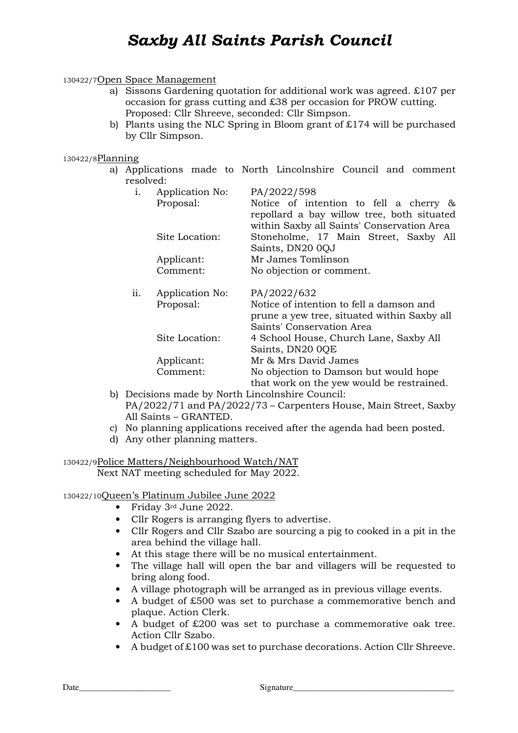#### 130422/7Open Space Management

- a) Sissons Gardening quotation for additional work was agreed. £107 per occasion for grass cutting and £38 per occasion for PROW cutting. Proposed: Cllr Shreeve, seconded: Cllr Simpson.
- b) Plants using the NLC Spring in Bloom grant of £174 will be purchased by Cllr Simpson.

#### 130422/8Planning

a) Applications made to North Lincolnshire Council and comment resolved:

| i.  | Application No: | PA/2022/598                                  |  |  |
|-----|-----------------|----------------------------------------------|--|--|
|     | Proposal:       | Notice of intention to fell a cherry &       |  |  |
|     |                 | repollard a bay willow tree, both situated   |  |  |
|     |                 | within Saxby all Saints' Conservation Area   |  |  |
|     | Site Location:  | Stoneholme, 17 Main Street, Saxby All        |  |  |
|     |                 | Saints, DN20 0QJ                             |  |  |
|     | Applicant:      | Mr James Tomlinson                           |  |  |
|     | Comment:        | No objection or comment.                     |  |  |
| ii. | Application No: | PA/2022/632                                  |  |  |
|     | Proposal:       | Notice of intention to fell a damson and     |  |  |
|     |                 | prune a yew tree, situated within Saxby all  |  |  |
|     |                 | Saints' Conservation Area                    |  |  |
|     | Site Location:  | 4 School House, Church Lane, Saxby All       |  |  |
|     |                 | Saints, DN20 0QE                             |  |  |
|     | Applicant:      | Mr & Mrs David James                         |  |  |
|     | Comment:        | No objection to Damson but would hope        |  |  |
|     |                 | that work on the yew would be restrained.    |  |  |
|     |                 | ecisions made by North Lincolnshire Council: |  |  |

- b) Decisions made by North Lincolnshire Council: PA/2022/71 and PA/2022/73 – Carpenters House, Main Street, Saxby All Saints – GRANTED.
- c) No planning applications received after the agenda had been posted.
- d) Any other planning matters.

130422/9Police Matters/Neighbourhood Watch/NAT Next NAT meeting scheduled for May 2022.

130422/10Queen's Platinum Jubilee June 2022

- Friday 3rd June 2022.
- Cllr Rogers is arranging flyers to advertise.
- Cllr Rogers and Cllr Szabo are sourcing a pig to cooked in a pit in the area behind the village hall.
- At this stage there will be no musical entertainment.
- The village hall will open the bar and villagers will be requested to bring along food.
- A village photograph will be arranged as in previous village events.
- A budget of £500 was set to purchase a commemorative bench and plaque. Action Clerk.
- A budget of £200 was set to purchase a commemorative oak tree. Action Cllr Szabo.
- A budget of £100 was set to purchase decorations. Action Cllr Shreeve.

Date\_\_\_\_\_\_\_\_\_\_\_\_\_\_\_\_\_\_\_\_\_ Signature\_\_\_\_\_\_\_\_\_\_\_\_\_\_\_\_\_\_\_\_\_\_\_\_\_\_\_\_\_\_\_\_\_\_\_\_\_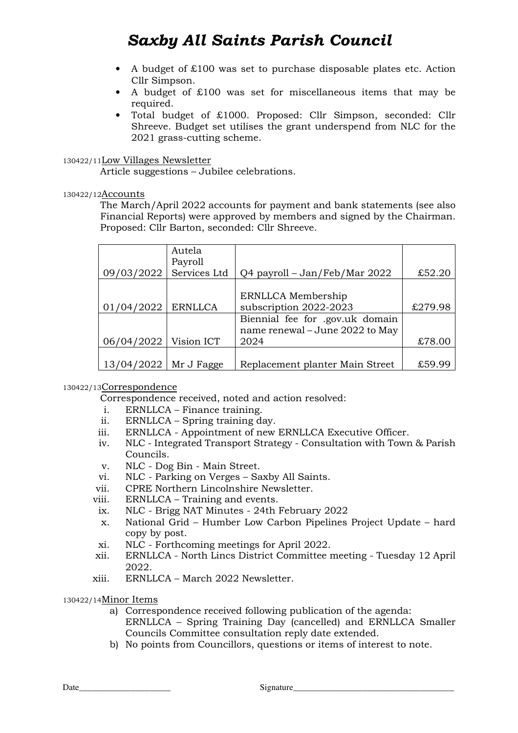- A budget of £100 was set to purchase disposable plates etc. Action Cllr Simpson.
- A budget of £100 was set for miscellaneous items that may be required.
- Total budget of £1000. Proposed: Cllr Simpson, seconded: Cllr Shreeve. Budget set utilises the grant underspend from NLC for the 2021 grass-cutting scheme.

### 130422/11Low Villages Newsletter

Article suggestions – Jubilee celebrations.

### 130422/12Accounts

The March/April 2022 accounts for payment and bank statements (see also Financial Reports) were approved by members and signed by the Chairman. Proposed: Cllr Barton, seconded: Cllr Shreeve.

| 09/03/2022               | Autela<br>Payroll<br>Services Ltd | Q4 payroll – Jan/Feb/Mar 2022                                      | £52.20           |
|--------------------------|-----------------------------------|--------------------------------------------------------------------|------------------|
| 01/04/2022               | <b>ERNLLCA</b>                    | ERNLLCA Membership<br>subscription 2022-2023                       | £279.98          |
|                          |                                   | Biennial fee for .gov.uk domain<br>name renewal - June 2022 to May |                  |
| 06/04/2022<br>13/04/2022 | Vision ICT<br>Mr J Fagge          | 2024<br>Replacement planter Main Street                            | £78.00<br>£59.99 |

## 130422/13Correspondence

Correspondence received, noted and action resolved:

- i. ERNLLCA Finance training.
- ii. ERNLLCA Spring training day.
- iii. ERNLLCA Appointment of new ERNLLCA Executive Officer.
- iv. NLC Integrated Transport Strategy Consultation with Town & Parish Councils.
- v. NLC Dog Bin Main Street.
- vi. NLC Parking on Verges Saxby All Saints.
- vii. CPRE Northern Lincolnshire Newsletter.
- viii. ERNLLCA Training and events.
- ix. NLC Brigg NAT Minutes 24th February 2022
- x. National Grid Humber Low Carbon Pipelines Project Update hard copy by post.
- xi. NLC Forthcoming meetings for April 2022.
- xii. ERNLLCA North Lincs District Committee meeting Tuesday 12 April 2022.
- xiii. ERNLLCA March 2022 Newsletter.

130422/14Minor Items

- a) Correspondence received following publication of the agenda: ERNLLCA – Spring Training Day (cancelled) and ERNLLCA Smaller Councils Committee consultation reply date extended.
- b) No points from Councillors, questions or items of interest to note.